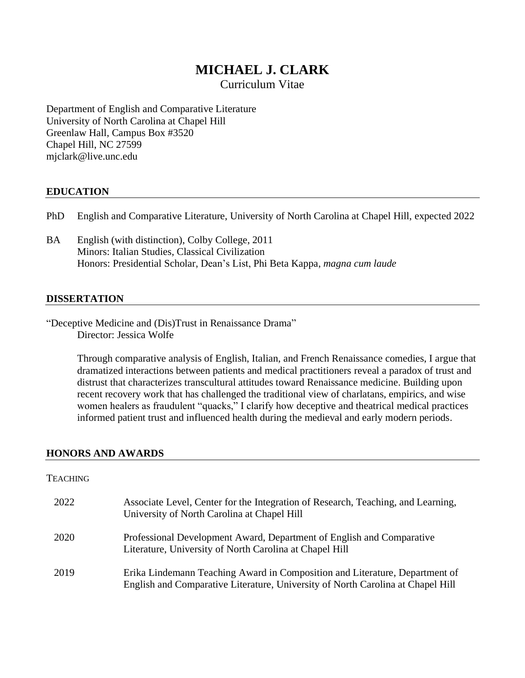# **MICHAEL J. CLARK**

Curriculum Vitae

Department of English and Comparative Literature University of North Carolina at Chapel Hill Greenlaw Hall, Campus Box #3520 Chapel Hill, NC 27599 mjclark@live.unc.edu

### **EDUCATION**

- PhD English and Comparative Literature, University of North Carolina at Chapel Hill, expected 2022
- BA English (with distinction), Colby College, 2011 Minors: Italian Studies, Classical Civilization Honors: Presidential Scholar, Dean's List, Phi Beta Kappa, *magna cum laude*

#### **DISSERTATION**

"Deceptive Medicine and (Dis)Trust in Renaissance Drama" Director: Jessica Wolfe

> Through comparative analysis of English, Italian, and French Renaissance comedies, I argue that dramatized interactions between patients and medical practitioners reveal a paradox of trust and distrust that characterizes transcultural attitudes toward Renaissance medicine. Building upon recent recovery work that has challenged the traditional view of charlatans, empirics, and wise women healers as fraudulent "quacks," I clarify how deceptive and theatrical medical practices informed patient trust and influenced health during the medieval and early modern periods.

### **HONORS AND AWARDS**

#### **TEACHING**

| 2022 | Associate Level, Center for the Integration of Research, Teaching, and Learning,<br>University of North Carolina at Chapel Hill                                |
|------|----------------------------------------------------------------------------------------------------------------------------------------------------------------|
| 2020 | Professional Development Award, Department of English and Comparative<br>Literature, University of North Carolina at Chapel Hill                               |
| 2019 | Erika Lindemann Teaching Award in Composition and Literature, Department of<br>English and Comparative Literature, University of North Carolina at Chapel Hill |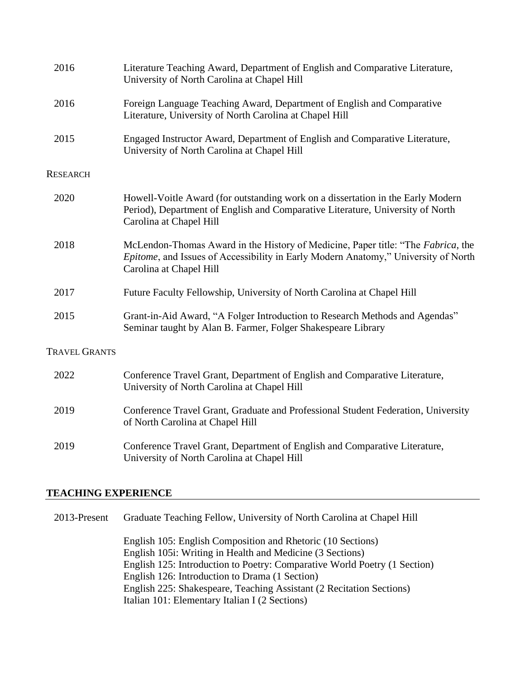| 2016                 | Literature Teaching Award, Department of English and Comparative Literature,<br>University of North Carolina at Chapel Hill                                                                       |
|----------------------|---------------------------------------------------------------------------------------------------------------------------------------------------------------------------------------------------|
| 2016                 | Foreign Language Teaching Award, Department of English and Comparative<br>Literature, University of North Carolina at Chapel Hill                                                                 |
| 2015                 | Engaged Instructor Award, Department of English and Comparative Literature,<br>University of North Carolina at Chapel Hill                                                                        |
| <b>RESEARCH</b>      |                                                                                                                                                                                                   |
| 2020                 | Howell-Voitle Award (for outstanding work on a dissertation in the Early Modern<br>Period), Department of English and Comparative Literature, University of North<br>Carolina at Chapel Hill      |
| 2018                 | McLendon-Thomas Award in the History of Medicine, Paper title: "The Fabrica, the<br>Epitome, and Issues of Accessibility in Early Modern Anatomy," University of North<br>Carolina at Chapel Hill |
| 2017                 | Future Faculty Fellowship, University of North Carolina at Chapel Hill                                                                                                                            |
| 2015                 | Grant-in-Aid Award, "A Folger Introduction to Research Methods and Agendas"<br>Seminar taught by Alan B. Farmer, Folger Shakespeare Library                                                       |
| <b>TRAVEL GRANTS</b> |                                                                                                                                                                                                   |
| 2022                 | Conference Travel Grant, Department of English and Comparative Literature,<br>University of North Carolina at Chapel Hill                                                                         |
| 2019                 | Conference Travel Grant, Graduate and Professional Student Federation, University<br>of North Carolina at Chapel Hill                                                                             |
| 2019                 | Conference Travel Grant, Department of English and Comparative Literature,<br>University of North Carolina at Chapel Hill                                                                         |

### **TEACHING EXPERIENCE**

2013-Present Graduate Teaching Fellow, University of North Carolina at Chapel Hill

English 105: English Composition and Rhetoric (10 Sections) English 105i: Writing in Health and Medicine (3 Sections) English 125: Introduction to Poetry: Comparative World Poetry (1 Section) English 126: Introduction to Drama (1 Section) English 225: Shakespeare, Teaching Assistant (2 Recitation Sections) Italian 101: Elementary Italian I (2 Sections)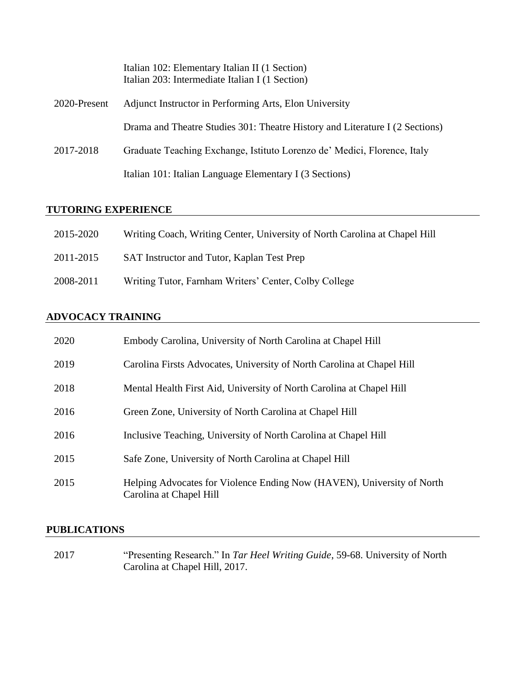|              | Italian 102: Elementary Italian II (1 Section)<br>Italian 203: Intermediate Italian I (1 Section) |
|--------------|---------------------------------------------------------------------------------------------------|
| 2020-Present | Adjunct Instructor in Performing Arts, Elon University                                            |
|              | Drama and Theatre Studies 301: Theatre History and Literature I (2 Sections)                      |
| 2017-2018    | Graduate Teaching Exchange, Istituto Lorenzo de' Medici, Florence, Italy                          |
|              | Italian 101: Italian Language Elementary I (3 Sections)                                           |

## **TUTORING EXPERIENCE**

| 2015-2020 | Writing Coach, Writing Center, University of North Carolina at Chapel Hill |
|-----------|----------------------------------------------------------------------------|
| 2011-2015 | SAT Instructor and Tutor, Kaplan Test Prep                                 |
| 2008-2011 | Writing Tutor, Farnham Writers' Center, Colby College                      |

## **ADVOCACY TRAINING**

| 2020 | Embody Carolina, University of North Carolina at Chapel Hill                                      |
|------|---------------------------------------------------------------------------------------------------|
| 2019 | Carolina Firsts Advocates, University of North Carolina at Chapel Hill                            |
| 2018 | Mental Health First Aid, University of North Carolina at Chapel Hill                              |
| 2016 | Green Zone, University of North Carolina at Chapel Hill                                           |
| 2016 | Inclusive Teaching, University of North Carolina at Chapel Hill                                   |
| 2015 | Safe Zone, University of North Carolina at Chapel Hill                                            |
| 2015 | Helping Advocates for Violence Ending Now (HAVEN), University of North<br>Carolina at Chapel Hill |

## **PUBLICATIONS**

2017 "Presenting Research." In *Tar Heel Writing Guide*, 59-68. University of North Carolina at Chapel Hill, 2017.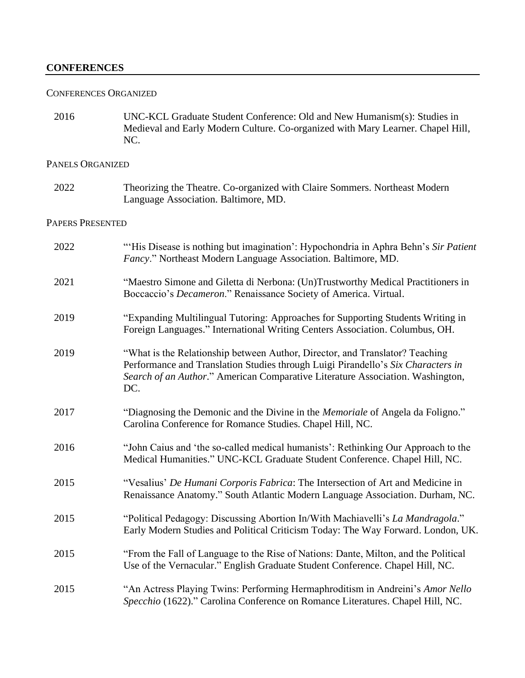### **CONFERENCES**

#### CONFERENCES ORGANIZED

2016 UNC-KCL Graduate Student Conference: Old and New Humanism(s): Studies in Medieval and Early Modern Culture. Co-organized with Mary Learner. Chapel Hill, NC.

### PANELS ORGANIZED

2022 Theorizing the Theatre. Co-organized with Claire Sommers. Northeast Modern Language Association. Baltimore, MD.

## PAPERS PRESENTED

| 2022 | "His Disease is nothing but imagination': Hypochondria in Aphra Behn's Sir Patient<br>Fancy." Northeast Modern Language Association. Baltimore, MD.                                                                                                       |
|------|-----------------------------------------------------------------------------------------------------------------------------------------------------------------------------------------------------------------------------------------------------------|
| 2021 | "Maestro Simone and Giletta di Nerbona: (Un)Trustworthy Medical Practitioners in<br>Boccaccio's Decameron." Renaissance Society of America. Virtual.                                                                                                      |
| 2019 | "Expanding Multilingual Tutoring: Approaches for Supporting Students Writing in<br>Foreign Languages." International Writing Centers Association. Columbus, OH.                                                                                           |
| 2019 | "What is the Relationship between Author, Director, and Translator? Teaching<br>Performance and Translation Studies through Luigi Pirandello's Six Characters in<br>Search of an Author." American Comparative Literature Association. Washington,<br>DC. |
| 2017 | "Diagnosing the Demonic and the Divine in the Memoriale of Angela da Foligno."<br>Carolina Conference for Romance Studies. Chapel Hill, NC.                                                                                                               |
| 2016 | "John Caius and 'the so-called medical humanists': Rethinking Our Approach to the<br>Medical Humanities." UNC-KCL Graduate Student Conference. Chapel Hill, NC.                                                                                           |
| 2015 | "Vesalius' De Humani Corporis Fabrica: The Intersection of Art and Medicine in<br>Renaissance Anatomy." South Atlantic Modern Language Association. Durham, NC.                                                                                           |
| 2015 | "Political Pedagogy: Discussing Abortion In/With Machiavelli's La Mandragola."<br>Early Modern Studies and Political Criticism Today: The Way Forward. London, UK.                                                                                        |
| 2015 | "From the Fall of Language to the Rise of Nations: Dante, Milton, and the Political<br>Use of the Vernacular." English Graduate Student Conference. Chapel Hill, NC.                                                                                      |
| 2015 | "An Actress Playing Twins: Performing Hermaphroditism in Andreini's Amor Nello<br>Specchio (1622)." Carolina Conference on Romance Literatures. Chapel Hill, NC.                                                                                          |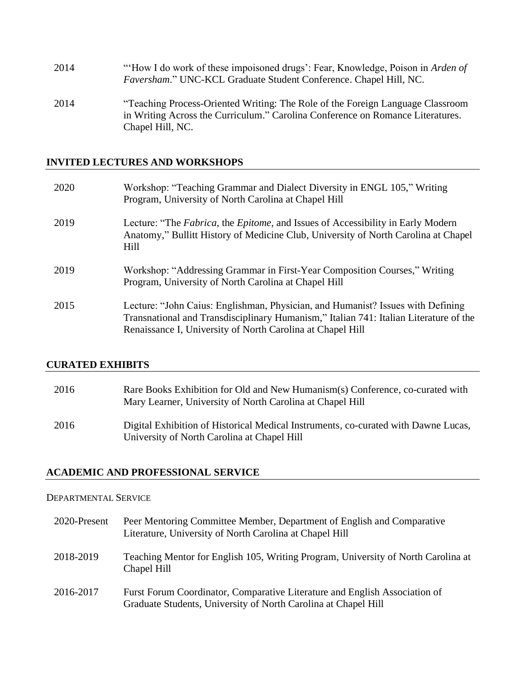| 2014 | "How I do work of these impoisoned drugs': Fear, Knowledge, Poison in Arden of<br>Faversham." UNC-KCL Graduate Student Conference. Chapel Hill, NC.                                  |
|------|--------------------------------------------------------------------------------------------------------------------------------------------------------------------------------------|
| 2014 | "Teaching Process-Oriented Writing: The Role of the Foreign Language Classroom<br>in Writing Across the Curriculum." Carolina Conference on Romance Literatures.<br>Chapel Hill, NC. |

## **INVITED LECTURES AND WORKSHOPS**

| 2020 | Workshop: "Teaching Grammar and Dialect Diversity in ENGL 105," Writing<br>Program, University of North Carolina at Chapel Hill                                                                                                        |
|------|----------------------------------------------------------------------------------------------------------------------------------------------------------------------------------------------------------------------------------------|
| 2019 | Lecture: "The Fabrica, the Epitome, and Issues of Accessibility in Early Modern<br>Anatomy," Bullitt History of Medicine Club, University of North Carolina at Chapel<br>Hill                                                          |
| 2019 | Workshop: "Addressing Grammar in First-Year Composition Courses," Writing<br>Program, University of North Carolina at Chapel Hill                                                                                                      |
| 2015 | Lecture: "John Caius: Englishman, Physician, and Humanist? Issues with Defining<br>Transnational and Transdisciplinary Humanism," Italian 741: Italian Literature of the<br>Renaissance I, University of North Carolina at Chapel Hill |

### **CURATED EXHIBITS**

| 2016 | Rare Books Exhibition for Old and New Humanism(s) Conference, co-curated with<br>Mary Learner, University of North Carolina at Chapel Hill |
|------|--------------------------------------------------------------------------------------------------------------------------------------------|
| 2016 | Digital Exhibition of Historical Medical Instruments, co-curated with Dawne Lucas,<br>University of North Carolina at Chapel Hill          |

## **ACADEMIC AND PROFESSIONAL SERVICE**

#### DEPARTMENTAL SERVICE

| 2020-Present | Peer Mentoring Committee Member, Department of English and Comparative<br>Literature, University of North Carolina at Chapel Hill            |
|--------------|----------------------------------------------------------------------------------------------------------------------------------------------|
| 2018-2019    | Teaching Mentor for English 105, Writing Program, University of North Carolina at<br>Chapel Hill                                             |
| 2016-2017    | Furst Forum Coordinator, Comparative Literature and English Association of<br>Graduate Students, University of North Carolina at Chapel Hill |